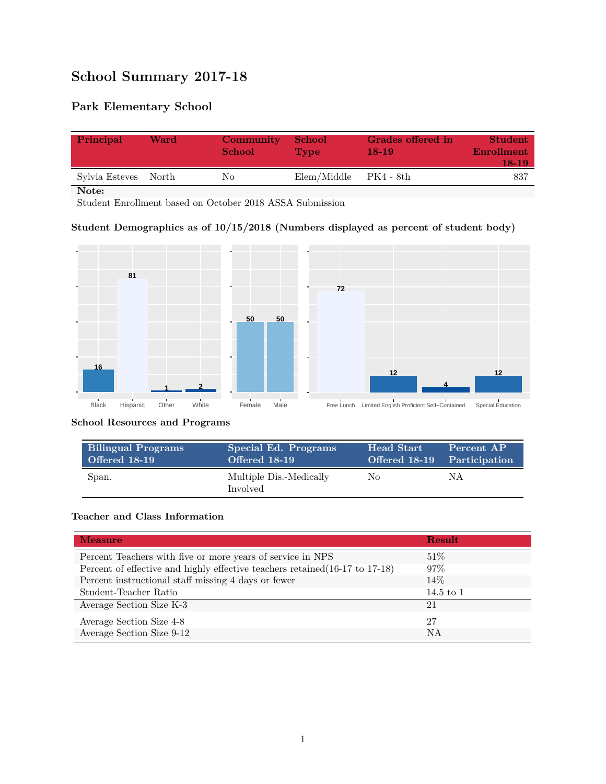# **School Summary 2017-18**

# **Park Elementary School**

| Principal            | Ward | <b>Community</b><br><b>School</b> | - School<br><b>Type</b>   | Grades offered in<br>$18-19$ | <b>Student</b><br>Enrollment<br>18-19 |
|----------------------|------|-----------------------------------|---------------------------|------------------------------|---------------------------------------|
| Sylvia Esteves North |      | Nο                                | $Elem/Middle$ $PK4 - 8th$ |                              | -837                                  |

**Note:**

Student Enrollment based on October 2018 ASSA Submission

### **Student Demographics as of 10/15/2018 (Numbers displayed as percent of student body)**



#### **School Resources and Programs**

| <b>Bilingual Programs</b> | Special Ed. Programs                       | Head Start                  | Percent AP |
|---------------------------|--------------------------------------------|-----------------------------|------------|
| Offered 18-19             | Offered 18-19                              | Offered 18-19 Participation |            |
| Span.                     | Multiple Dis.-Medically<br><b>Involved</b> | No                          | ΝA         |

#### **Teacher and Class Information**

| <b>Measure</b>                                                               | <b>Result</b> |
|------------------------------------------------------------------------------|---------------|
| Percent Teachers with five or more years of service in NPS                   | 51%           |
| Percent of effective and highly effective teachers retained (16-17 to 17-18) | $97\%$        |
| Percent instructional staff missing 4 days or fewer                          | 14\%          |
| Student-Teacher Ratio                                                        | 14.5 to $1$   |
| Average Section Size K-3                                                     | 21            |
| Average Section Size 4-8                                                     | 27            |
| Average Section Size 9-12                                                    | <b>NA</b>     |